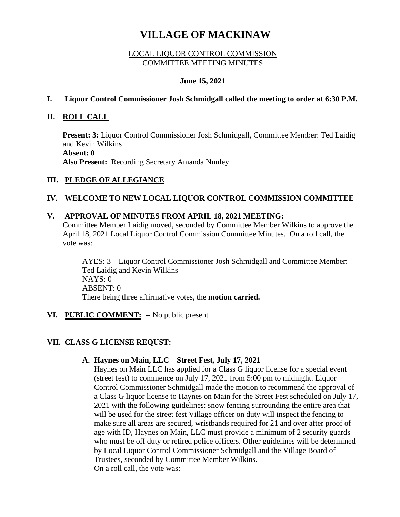# **VILLAGE OF MACKINAW**

## LOCAL LIQUOR CONTROL COMMISSION COMMITTEE MEETING MINUTES

## **June 15, 2021**

## **I. Liquor Control Commissioner Josh Schmidgall called the meeting to order at 6:30 P.M.**

## **II. ROLL CALL**

**Present: 3:** Liquor Control Commissioner Josh Schmidgall, Committee Member: Ted Laidig and Kevin Wilkins **Absent: 0 Also Present:** Recording Secretary Amanda Nunley

# **III. PLEDGE OF ALLEGIANCE**

# **IV. WELCOME TO NEW LOCAL LIQUOR CONTROL COMMISSION COMMITTEE**

### **V. APPROVAL OF MINUTES FROM APRIL 18, 2021 MEETING:**

Committee Member Laidig moved, seconded by Committee Member Wilkins to approve the April 18, 2021 Local Liquor Control Commission Committee Minutes. On a roll call, the vote was:

AYES: 3 – Liquor Control Commissioner Josh Schmidgall and Committee Member: Ted Laidig and Kevin Wilkins NAYS: 0 ABSENT: 0 There being three affirmative votes, the **motion carried.**

#### **VI. PUBLIC COMMENT:** -- No public present

# **VII. CLASS G LICENSE REQUST:**

#### **A. Haynes on Main, LLC – Street Fest, July 17, 2021**

Haynes on Main LLC has applied for a Class G liquor license for a special event (street fest) to commence on July 17, 2021 from 5:00 pm to midnight. Liquor Control Commissioner Schmidgall made the motion to recommend the approval of a Class G liquor license to Haynes on Main for the Street Fest scheduled on July 17, 2021 with the following guidelines: snow fencing surrounding the entire area that will be used for the street fest Village officer on duty will inspect the fencing to make sure all areas are secured, wristbands required for 21 and over after proof of age with ID, Haynes on Main, LLC must provide a minimum of 2 security guards who must be off duty or retired police officers. Other guidelines will be determined by Local Liquor Control Commissioner Schmidgall and the Village Board of Trustees, seconded by Committee Member Wilkins. On a roll call, the vote was: